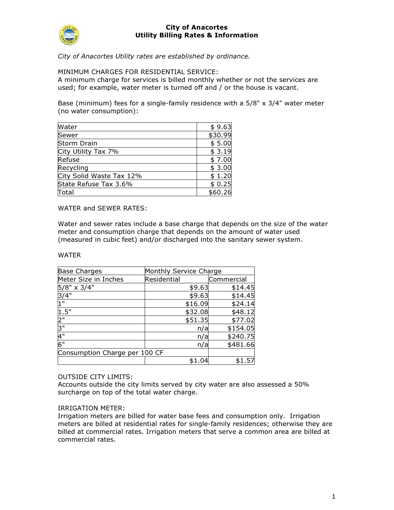

City of Anacortes Utility rates are established by ordinance.

MINIMUM CHARGES FOR RESIDENTIAL SERVICE:

A minimum charge for services is billed monthly whether or not the services are used; for example, water meter is turned off and / or the house is vacant.

Base (minimum) fees for a single-family residence with a 5/8" x 3/4" water meter (no water consumption):

| Water                    | \$9.63  |
|--------------------------|---------|
| Sewer                    | \$30.99 |
| Storm Drain              | \$5.00  |
| City Utility Tax 7%      | \$3.19  |
| Refuse                   | \$7.00  |
| Recycling                | \$3.00  |
| City Solid Waste Tax 12% | \$1.20  |
| State Refuse Tax 3.6%    | \$0.25  |
| Total                    | \$60.26 |

WATER and SEWER RATES:

Water and sewer rates include a base charge that depends on the size of the water meter and consumption charge that depends on the amount of water used (measured in cubic feet) and/or discharged into the sanitary sewer system.

### WATER

| <b>Base Charges</b>           | Monthly Service Charge |            |  |
|-------------------------------|------------------------|------------|--|
| Meter Size in Inches          | Residential            | Commercial |  |
| 5/8" x 3/4"                   | \$9.63                 | \$14.45    |  |
| 3/4"                          | \$9.63                 | \$14.45    |  |
| 1"                            | \$16.09                | \$24.14    |  |
| 1.5"                          | \$32.08                | \$48.12    |  |
| $\frac{2}{3}$                 | \$51.35                | \$77.02    |  |
|                               | n/a                    | \$154.05   |  |
| 4"                            | n/a                    | \$240.75   |  |
| 6"                            | n/a                    | \$481.66   |  |
| Consumption Charge per 100 CF |                        |            |  |
|                               | \$1.04                 | \$1.57     |  |

## OUTSIDE CITY LIMITS:

Accounts outside the city limits served by city water are also assessed a 50% surcharge on top of the total water charge.

### IRRIGATION METER:

Irrigation meters are billed for water base fees and consumption only. Irrigation meters are billed at residential rates for single-family residences; otherwise they are billed at commercial rates. Irrigation meters that serve a common area are billed at commercial rates.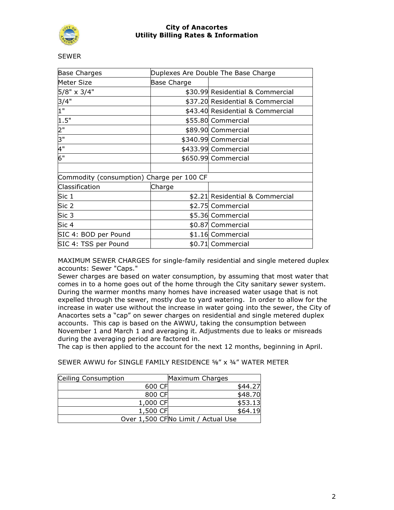

**SEWER** 

| <b>Base Charges</b>                       | Duplexes Are Double The Base Charge |                                  |  |
|-------------------------------------------|-------------------------------------|----------------------------------|--|
| Meter Size                                | Base Charge                         |                                  |  |
| 5/8" x 3/4"                               |                                     | \$30.99 Residential & Commercial |  |
| 3/4"                                      |                                     | \$37.20 Residential & Commercial |  |
| 1"                                        |                                     | \$43.40 Residential & Commercial |  |
| 1.5"                                      |                                     | \$55.80 Commercial               |  |
| 2"                                        |                                     | \$89.90 Commercial               |  |
| 3"                                        |                                     | \$340.99 Commercial              |  |
| 4"                                        |                                     | \$433.99 Commercial              |  |
| 6"                                        |                                     | \$650.99 Commercial              |  |
|                                           |                                     |                                  |  |
| Commodity (consumption) Charge per 100 CF |                                     |                                  |  |
| Classification                            | Charge                              |                                  |  |
| Sic 1                                     |                                     | \$2.21 Residential & Commercial  |  |
| Sic 2                                     |                                     | \$2.75 Commercial                |  |
| Sic 3                                     |                                     | \$5.36 Commercial                |  |
| Sic 4                                     |                                     | \$0.87 Commercial                |  |
| SIC 4: BOD per Pound                      |                                     | \$1.16 Commercial                |  |
| SIC 4: TSS per Pound                      |                                     | \$0.71 Commercial                |  |

MAXIMUM SEWER CHARGES for single-family residential and single metered duplex accounts: Sewer "Caps."

Sewer charges are based on water consumption, by assuming that most water that comes in to a home goes out of the home through the City sanitary sewer system. During the warmer months many homes have increased water usage that is not expelled through the sewer, mostly due to yard watering. In order to allow for the increase in water use without the increase in water going into the sewer, the City of Anacortes sets a "cap" on sewer charges on residential and single metered duplex accounts. This cap is based on the AWWU, taking the consumption between November 1 and March 1 and averaging it. Adjustments due to leaks or misreads during the averaging period are factored in.

The cap is then applied to the account for the next 12 months, beginning in April.

SEWER AWWU for SINGLE FAMILY RESIDENCE ⅝" x ¾" WATER METER

| Ceiling Consumption |          | Maximum Charges                    |         |
|---------------------|----------|------------------------------------|---------|
|                     | 600 CF   |                                    | \$44.27 |
|                     | 800 CF   |                                    | \$48.70 |
|                     | 1,000 CF |                                    | \$53.13 |
|                     | 1,500 CF |                                    | \$64.19 |
|                     |          | Over 1,500 CFNo Limit / Actual Use |         |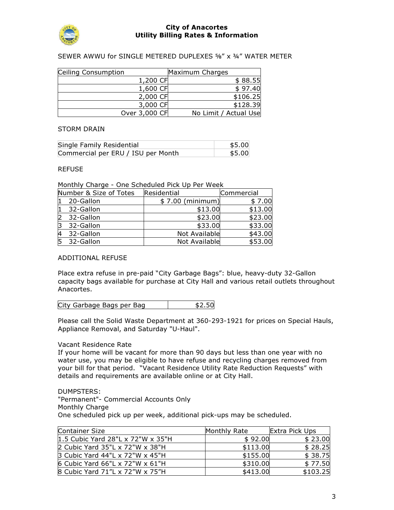

## SEWER AWWU for SINGLE METERED DUPLEXES ⅝" x ¾" WATER METER

| Ceiling Consumption |               | Maximum Charges       |          |
|---------------------|---------------|-----------------------|----------|
|                     | 1,200 CF      |                       | \$88.55  |
|                     | 1,600 CF      |                       | \$97.40  |
|                     | 2,000 CF      |                       | \$106.25 |
|                     | 3,000 CF      |                       | \$128.39 |
|                     | Over 3,000 CF | No Limit / Actual Use |          |

### STORM DRAIN

| Single Family Residential          | \$5.00 |
|------------------------------------|--------|
| Commercial per ERU / ISU per Month | \$5.00 |

#### REFUSE

Monthly Charge - One Scheduled Pick Up Per Week

|    | Number & Size of Totes | Residential      | Commercial |
|----|------------------------|------------------|------------|
|    | 20-Gallon              | \$7.00 (minimum) | \$7.00     |
|    | 32-Gallon              | \$13.00          | \$13.00    |
|    | 32-Gallon              | \$23.00          | \$23.00    |
|    | 32-Gallon              | \$33.00          | \$33.00    |
|    | 32-Gallon              | Not Available    | \$43.00    |
| 15 | 32-Gallon              | Not Available    | \$53.00    |

### ADDITIONAL REFUSE

Place extra refuse in pre-paid "City Garbage Bags": blue, heavy-duty 32-Gallon capacity bags available for purchase at City Hall and various retail outlets throughout Anacortes.

| City Garbage Bags per Bag<br>\$2.50 |
|-------------------------------------|
|-------------------------------------|

Please call the Solid Waste Department at 360-293-1921 for prices on Special Hauls, Appliance Removal, and Saturday "U-Haul".

### Vacant Residence Rate

If your home will be vacant for more than 90 days but less than one year with no water use, you may be eligible to have refuse and recycling charges removed from your bill for that period. "Vacant Residence Utility Rate Reduction Requests" with details and requirements are available online or at City Hall.

#### DUMPSTERS:

"Permanent"- Commercial Accounts Only Monthly Charge One scheduled pick up per week, additional pick-ups may be scheduled.

| Container Size                    | Monthly Rate | Extra Pick Ups |
|-----------------------------------|--------------|----------------|
| 1.5 Cubic Yard 28"L x 72"W x 35"H | \$92.00      | \$23.00        |
| 2 Cubic Yard 35"L x 72"W x 38"H   | \$113.00     | \$28.25        |
| 3 Cubic Yard 44"L x 72"W x 45"H   | \$155.00     | \$38.75        |
| 6 Cubic Yard 66"L x 72"W x 61"H   | \$310.00     | \$77.50        |
| 8 Cubic Yard 71"L x 72"W x 75"H   | \$413.00     | \$103.25       |